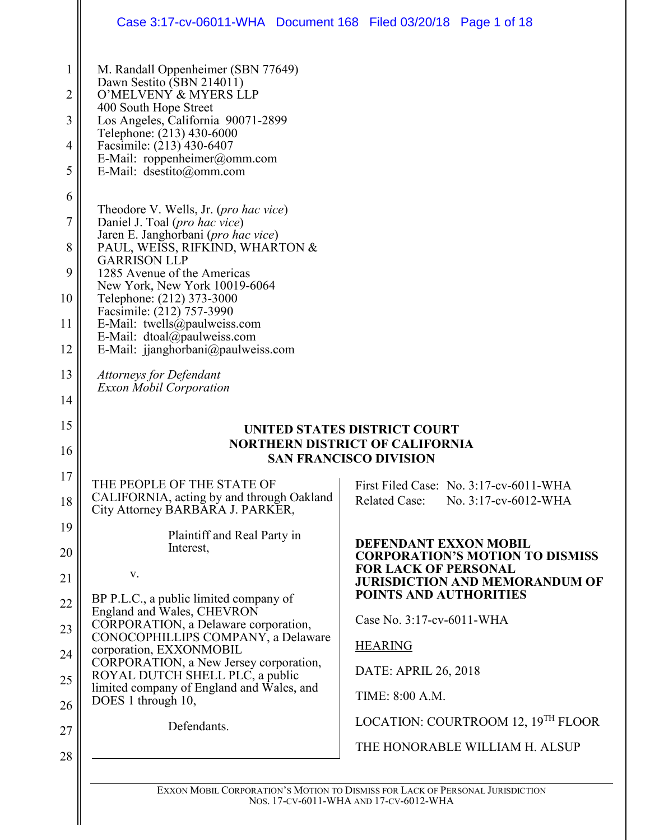|          | Case 3:17-cv-06011-WHA  Document 168  Filed 03/20/18  Page 1 of 18                                                                                                                                                                                                                                                                                                                                     |                                                                                                         |
|----------|--------------------------------------------------------------------------------------------------------------------------------------------------------------------------------------------------------------------------------------------------------------------------------------------------------------------------------------------------------------------------------------------------------|---------------------------------------------------------------------------------------------------------|
|          | M. Randall Oppenheimer (SBN 77649)<br>Dawn Sestito (SBN 214011)<br>O'MELVENY & MYERS LLP<br>400 South Hope Street<br>Los Angeles, California 90071-2899<br>Telephone: (213) 430-6000<br>Facsimile: (213) 430-6407<br>E-Mail: roppenheimer@omm.com<br>E-Mail: dsestito@omm.com                                                                                                                          |                                                                                                         |
|          | Theodore V. Wells, Jr. (pro hac vice)<br>Daniel J. Toal (pro hac vice)<br>Jaren E. Janghorbani (pro hac vice)<br>PAUL, WEISS, RIFKIND, WHARTON &<br><b>GARRISON LLP</b><br>1285 Avenue of the Americas<br>New York, New York 10019-6064<br>Telephone: (212) 373-3000<br>Facsimile: (212) 757-3990<br>E-Mail: twells@paulweiss.com<br>E-Mail: dtoal@paulweiss.com<br>E-Mail: jjanghorbani@paulweiss.com |                                                                                                         |
|          | <b>Attorneys for Defendant</b><br><b>Exxon Mobil Corporation</b>                                                                                                                                                                                                                                                                                                                                       |                                                                                                         |
|          |                                                                                                                                                                                                                                                                                                                                                                                                        | UNITED STATES DISTRICT COURT<br><b>NORTHERN DISTRICT OF CALIFORNIA</b><br><b>SAN FRANCISCO DIVISION</b> |
| 17<br>18 | THE PEOPLE OF THE STATE OF<br>CALIFORNIA, acting by and through Oakland<br>City Attorney BARBARA J. PARKER,                                                                                                                                                                                                                                                                                            | First Filed Case: No. 3:17-cv-6011-WHA<br><b>Related Case:</b><br>No. 3:17-cv-6012-WHA                  |
|          | Plaintiff and Real Party in<br>Interest,<br>V.                                                                                                                                                                                                                                                                                                                                                         | DEFENDANT EXXON MOBIL<br><b>CORPORATION'S MOTION TO DISMISS</b><br><b>FOR LACK OF PERSONAL</b>          |
|          | BP P.L.C., a public limited company of<br>England and Wales, CHEVRON                                                                                                                                                                                                                                                                                                                                   | <b>JURISDICTION AND MEMORANDUM OF</b><br>POINTS AND AUTHORITIES<br>Case No. 3:17-cv-6011-WHA            |
|          | CORPORATION, a Delaware corporation,<br>CONOCOPHILLIPS COMPANY, a Delaware<br>corporation, EXXONMOBIL<br>CORPORATION, a New Jersey corporation,                                                                                                                                                                                                                                                        | <b>HEARING</b>                                                                                          |
|          | ROYAL DUTCH SHELL PLC, a public<br>limited company of England and Wales, and<br>DOES 1 through 10,                                                                                                                                                                                                                                                                                                     | DATE: APRIL 26, 2018<br>TIME: 8:00 A.M.                                                                 |
|          |                                                                                                                                                                                                                                                                                                                                                                                                        | LOCATION: COURTROOM 12, 19 <sup>TH</sup> FLOOR                                                          |

EXXON MOBIL CORPORATION'S MOTION TO DISMISS FOR LACK OF PERSONAL JURISDICTION NOS. 17-CV-6011-WHA AND 17-CV-6012-WHA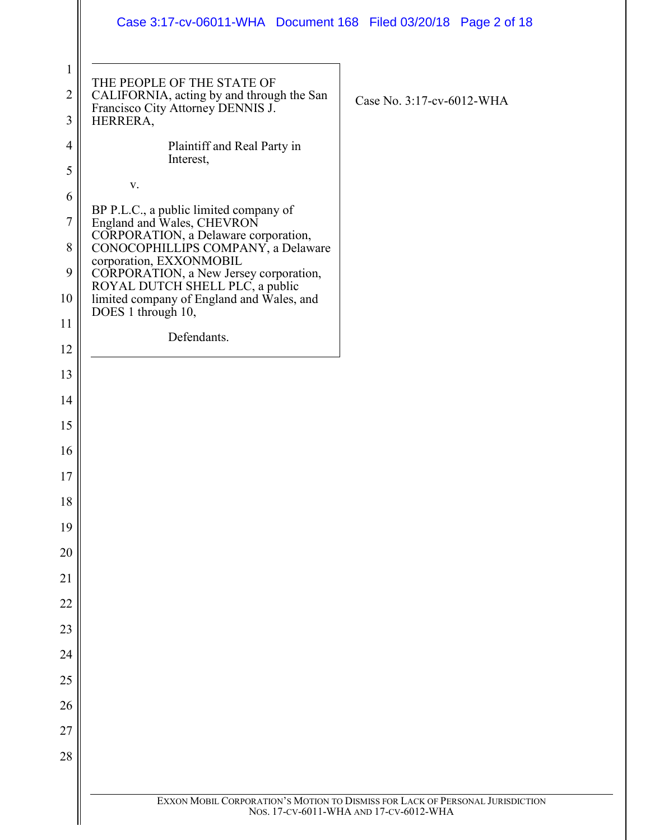|                                     | Case 3:17-cv-06011-WHA Document 168 Filed 03/20/18 Page 2 of 18                                                          |                                                                                                                         |
|-------------------------------------|--------------------------------------------------------------------------------------------------------------------------|-------------------------------------------------------------------------------------------------------------------------|
| $\mathbf{1}$<br>$\overline{2}$<br>3 | THE PEOPLE OF THE STATE OF<br>CALIFORNIA, acting by and through the San<br>Francisco City Attorney DENNIS J.<br>HERRERA, | Case No. 3:17-cv-6012-WHA                                                                                               |
| 4                                   | Plaintiff and Real Party in                                                                                              |                                                                                                                         |
| 5                                   | Interest,                                                                                                                |                                                                                                                         |
| 6                                   | V.<br>BP P.L.C., a public limited company of                                                                             |                                                                                                                         |
| $\tau$                              | England and Wales, CHEVRON<br>CORPORATION, a Delaware corporation,                                                       |                                                                                                                         |
| 8<br>9                              | CONOCOPHILLIPS COMPANY, a Delaware<br>corporation, EXXONMOBIL                                                            |                                                                                                                         |
| 10                                  | CORPORATION, a New Jersey corporation,<br>ROYAL DUTCH SHELL PLC, a public<br>limited company of England and Wales, and   |                                                                                                                         |
| 11                                  | DOES 1 through 10,                                                                                                       |                                                                                                                         |
| 12                                  | Defendants.                                                                                                              |                                                                                                                         |
| 13                                  |                                                                                                                          |                                                                                                                         |
| 14                                  |                                                                                                                          |                                                                                                                         |
| 15                                  |                                                                                                                          |                                                                                                                         |
| 16                                  |                                                                                                                          |                                                                                                                         |
| 17                                  |                                                                                                                          |                                                                                                                         |
| 18                                  |                                                                                                                          |                                                                                                                         |
| 19                                  |                                                                                                                          |                                                                                                                         |
| 20<br>21                            |                                                                                                                          |                                                                                                                         |
| 22                                  |                                                                                                                          |                                                                                                                         |
| 23                                  |                                                                                                                          |                                                                                                                         |
| 24                                  |                                                                                                                          |                                                                                                                         |
| 25                                  |                                                                                                                          |                                                                                                                         |
| 26                                  |                                                                                                                          |                                                                                                                         |
| 27                                  |                                                                                                                          |                                                                                                                         |
| 28                                  |                                                                                                                          |                                                                                                                         |
|                                     |                                                                                                                          |                                                                                                                         |
|                                     |                                                                                                                          | EXXON MOBIL CORPORATION'S MOTION TO DISMISS FOR LACK OF PERSONAL JURISDICTION<br>NOS. 17-CV-6011-WHA AND 17-CV-6012-WHA |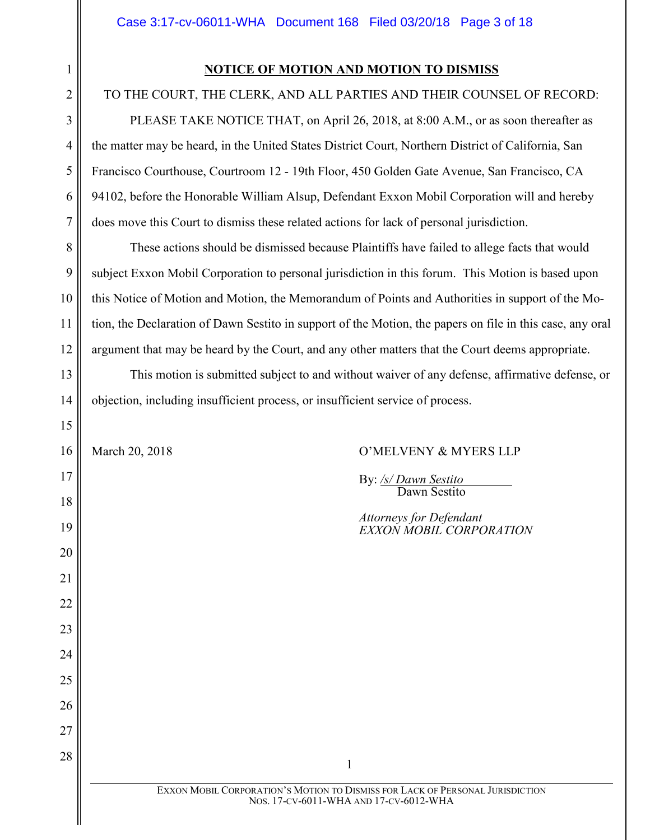# **NOTICE OF MOTION AND MOTION TO DISMISS**

# TO THE COURT, THE CLERK, AND ALL PARTIES AND THEIR COUNSEL OF RECORD:

PLEASE TAKE NOTICE THAT, on April 26, 2018, at 8:00 A.M., or as soon thereafter as the matter may be heard, in the United States District Court, Northern District of California, San Francisco Courthouse, Courtroom 12 - 19th Floor, 450 Golden Gate Avenue, San Francisco, CA 94102, before the Honorable William Alsup, Defendant Exxon Mobil Corporation will and hereby does move this Court to dismiss these related actions for lack of personal jurisdiction.

These actions should be dismissed because Plaintiffs have failed to allege facts that would subject Exxon Mobil Corporation to personal jurisdiction in this forum. This Motion is based upon this Notice of Motion and Motion, the Memorandum of Points and Authorities in support of the Motion, the Declaration of Dawn Sestito in support of the Motion, the papers on file in this case, any oral argument that may be heard by the Court, and any other matters that the Court deems appropriate.

This motion is submitted subject to and without waiver of any defense, affirmative defense, or objection, including insufficient process, or insufficient service of process.

# March 20, 2018 **O'MELVENY & MYERS LLP**

By: */s/ Dawn Sestito* Dawn Sestito

*Attorneys for Defendant EXXON MOBIL CORPORATION*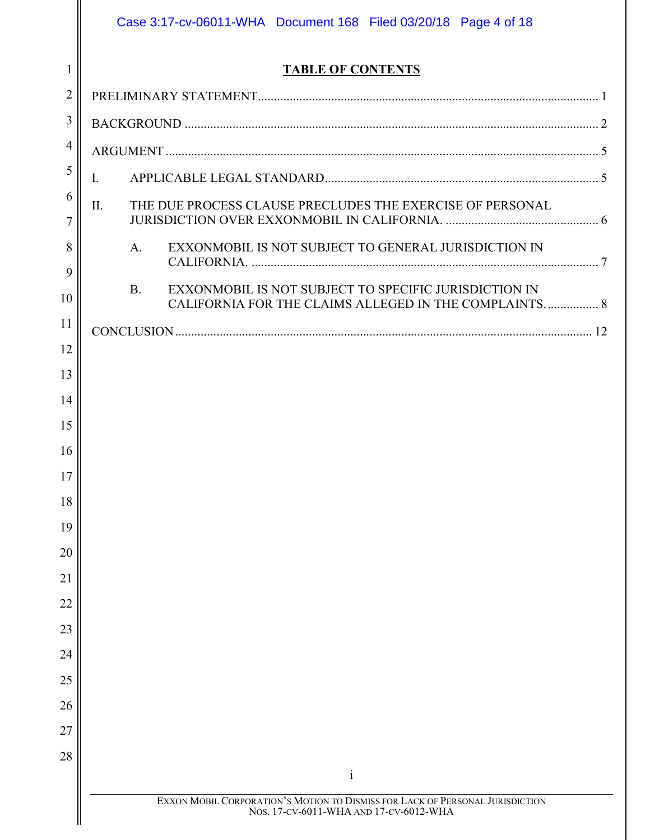|                | Case 3:17-cv-06011-WHA Document 168 Filed 03/20/18 Page 4 of 18                                                             |  |  |
|----------------|-----------------------------------------------------------------------------------------------------------------------------|--|--|
| $\mathbf{1}$   | <b>TABLE OF CONTENTS</b>                                                                                                    |  |  |
| $\overline{2}$ |                                                                                                                             |  |  |
| 3              |                                                                                                                             |  |  |
| $\overline{4}$ |                                                                                                                             |  |  |
| 5              | $\mathbf{I}$ .                                                                                                              |  |  |
| 6              | II.<br>THE DUE PROCESS CLAUSE PRECLUDES THE EXERCISE OF PERSONAL                                                            |  |  |
| $\overline{7}$ |                                                                                                                             |  |  |
| 8<br>9         | EXXONMOBIL IS NOT SUBJECT TO GENERAL JURISDICTION IN<br>A <sub>1</sub>                                                      |  |  |
| 10             | EXXONMOBIL IS NOT SUBJECT TO SPECIFIC JURISDICTION IN<br><b>B.</b><br>CALIFORNIA FOR THE CLAIMS ALLEGED IN THE COMPLAINTS 8 |  |  |
| 11             |                                                                                                                             |  |  |
| 12             |                                                                                                                             |  |  |
| 13             |                                                                                                                             |  |  |
| 14             |                                                                                                                             |  |  |
| 15             |                                                                                                                             |  |  |
| 16             |                                                                                                                             |  |  |
| 17             |                                                                                                                             |  |  |
| 18             |                                                                                                                             |  |  |
| 19             |                                                                                                                             |  |  |
| 20             |                                                                                                                             |  |  |
| 21             |                                                                                                                             |  |  |
| 22             |                                                                                                                             |  |  |
| 23             |                                                                                                                             |  |  |
| 24             |                                                                                                                             |  |  |
| 25             |                                                                                                                             |  |  |
| 26             |                                                                                                                             |  |  |
| 27             |                                                                                                                             |  |  |
| 28             | $\mathbf{i}$                                                                                                                |  |  |
|                | EXXON MOBIL CORPORATION'S MOTION TO DISMISS FOR LACK OF PERSONAL JURISDICTION<br>Nos. 17-CV-6011-WHA AND 17-CV-6012-WHA     |  |  |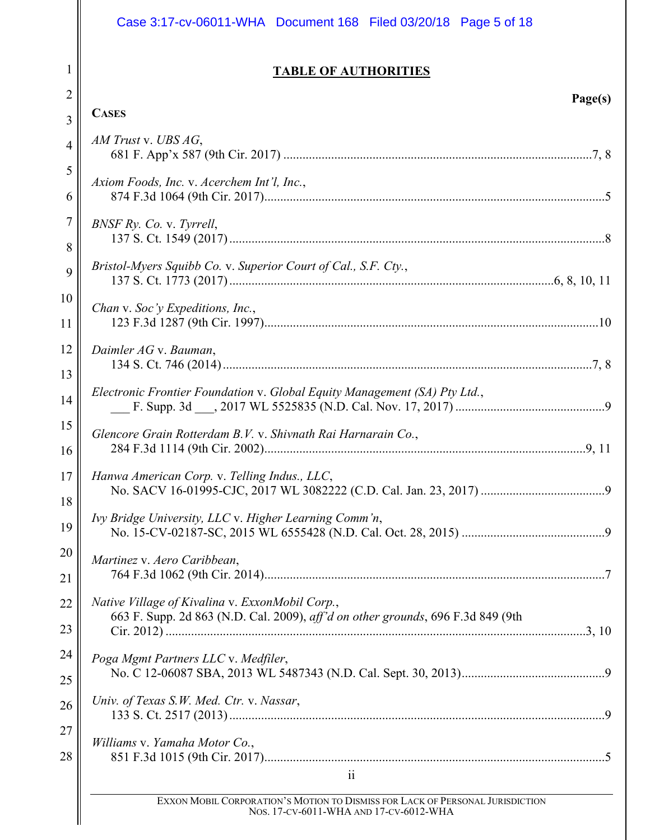1

2

3

**CASES**

4

5

6

7

8

9

10

11

12

13

14

15

16

17

18

19

20

21

22

23

24

25

26

27

28

# **TABLE OF AUTHORITIES**

**Page(s)**

| AM Trust v. UBS AG,                                                                                                                |  |
|------------------------------------------------------------------------------------------------------------------------------------|--|
| Axiom Foods, Inc. v. Acerchem Int'l, Inc.,                                                                                         |  |
| BNSF Ry. Co. v. Tyrrell,                                                                                                           |  |
| Bristol-Myers Squibb Co. v. Superior Court of Cal., S.F. Cty.,                                                                     |  |
| Chan v. Soc'y Expeditions, Inc.,                                                                                                   |  |
| Daimler AG v. Bauman,                                                                                                              |  |
| Electronic Frontier Foundation v. Global Equity Management (SA) Pty Ltd.,                                                          |  |
| Glencore Grain Rotterdam B.V. v. Shivnath Rai Harnarain Co.,                                                                       |  |
| Hanwa American Corp. v. Telling Indus., LLC,                                                                                       |  |
| Ivy Bridge University, LLC v. Higher Learning Comm'n,                                                                              |  |
| Martinez v. Aero Caribbean,                                                                                                        |  |
| Native Village of Kivalina v. ExxonMobil Corp.,<br>663 F. Supp. 2d 863 (N.D. Cal. 2009), aff'd on other grounds, 696 F.3d 849 (9th |  |
| Poga Mgmt Partners LLC v. Medfiler,                                                                                                |  |
| Univ. of Texas S.W. Med. Ctr. v. Nassar,                                                                                           |  |
| Williams v. Yamaha Motor Co.,                                                                                                      |  |
| $\ddot{\mathbf{i}}$                                                                                                                |  |

EXXON MOBIL CORPORATION'S MOTION TO DISMISS FOR LACK OF PERSONAL JURISDICTION NOS. 17-CV-6011-WHA AND 17-CV-6012-WHA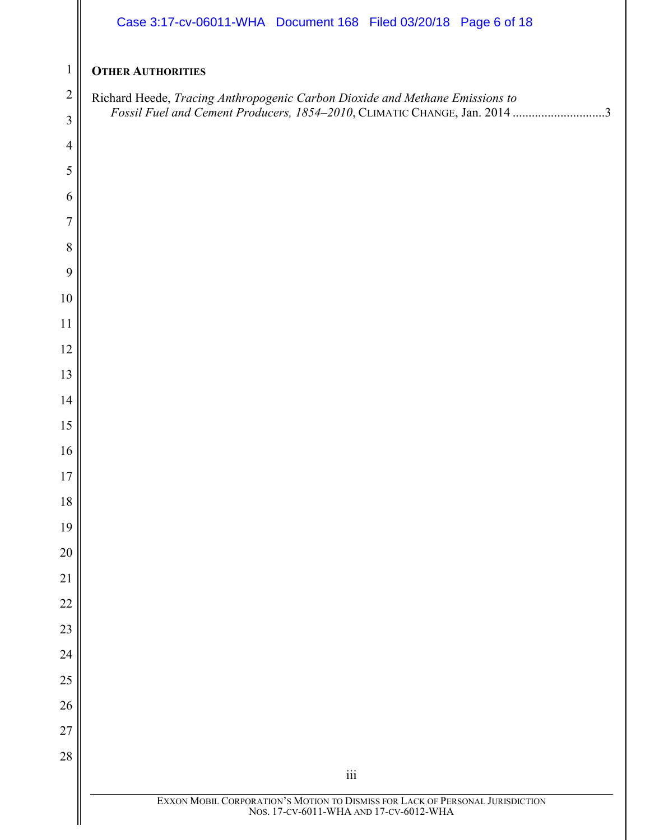|                  | Case 3:17-cv-06011-WHA Document 168 Filed 03/20/18 Page 6 of 18                                                         |
|------------------|-------------------------------------------------------------------------------------------------------------------------|
| $\mathbf{1}$     | <b>OTHER AUTHORITIES</b>                                                                                                |
| $\overline{2}$   | Richard Heede, Tracing Anthropogenic Carbon Dioxide and Methane Emissions to                                            |
| $\mathfrak{Z}$   | Fossil Fuel and Cement Producers, 1854-2010, CLIMATIC CHANGE, Jan. 2014 3                                               |
| $\overline{4}$   |                                                                                                                         |
| $\mathfrak{S}$   |                                                                                                                         |
| 6                |                                                                                                                         |
| $\boldsymbol{7}$ |                                                                                                                         |
| $\,8\,$          |                                                                                                                         |
| $\mathbf{9}$     |                                                                                                                         |
| $10\,$           |                                                                                                                         |
| 11<br>12         |                                                                                                                         |
| 13               |                                                                                                                         |
| 14               |                                                                                                                         |
| 15               |                                                                                                                         |
| 16               |                                                                                                                         |
| $17\,$           |                                                                                                                         |
| $18\,$           |                                                                                                                         |
| 19               |                                                                                                                         |
| 20               |                                                                                                                         |
| 21               |                                                                                                                         |
| $22\,$           |                                                                                                                         |
| 23               |                                                                                                                         |
| 24               |                                                                                                                         |
| 25               |                                                                                                                         |
| 26               |                                                                                                                         |
| $27\,$           |                                                                                                                         |
| 28               | $\rm iii$                                                                                                               |
|                  | EXXON MOBIL CORPORATION'S MOTION TO DISMISS FOR LACK OF PERSONAL JURISDICTION<br>NOS. 17-CV-6011-WHA AND 17-CV-6012-WHA |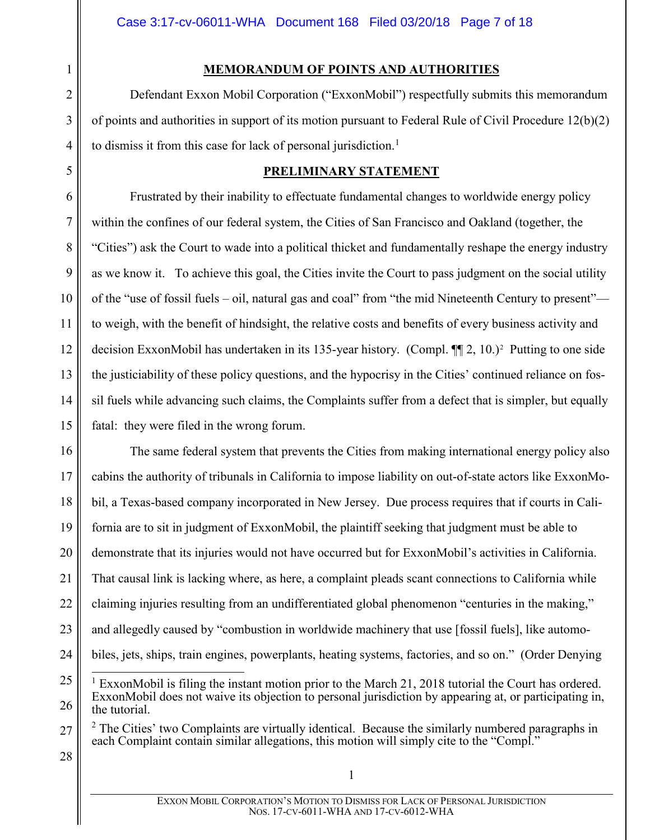# **MEMORANDUM OF POINTS AND AUTHORITIES**

Defendant Exxon Mobil Corporation ("ExxonMobil") respectfully submits this memorandum of points and authorities in support of its motion pursuant to Federal Rule of Civil Procedure 12(b)(2) to dismiss it from this case for lack of personal jurisdiction.<sup>[1](#page-6-1)</sup>

# **PRELIMINARY STATEMENT**

Frustrated by their inability to effectuate fundamental changes to worldwide energy policy within the confines of our federal system, the Cities of San Francisco and Oakland (together, the "Cities") ask the Court to wade into a political thicket and fundamentally reshape the energy industry as we know it. To achieve this goal, the Cities invite the Court to pass judgment on the social utility of the "use of fossil fuels – oil, natural gas and coal" from "the mid Nineteenth Century to present" to weigh, with the benefit of hindsight, the relative costs and benefits of every business activity and decision ExxonMobil has undertaken in its 135-year history. (Compl. ¶¶ 2, 10.)[2](#page-6-2) Putting to one side the justiciability of these policy questions, and the hypocrisy in the Cities' continued reliance on fossil fuels while advancing such claims, the Complaints suffer from a defect that is simpler, but equally fatal: they were filed in the wrong forum.

16 17 18 19 20 21 22 23 24 The same federal system that prevents the Cities from making international energy policy also cabins the authority of tribunals in California to impose liability on out-of-state actors like ExxonMobil, a Texas-based company incorporated in New Jersey. Due process requires that if courts in California are to sit in judgment of ExxonMobil, the plaintiff seeking that judgment must be able to demonstrate that its injuries would not have occurred but for ExxonMobil's activities in California. That causal link is lacking where, as here, a complaint pleads scant connections to California while claiming injuries resulting from an undifferentiated global phenomenon "centuries in the making," and allegedly caused by "combustion in worldwide machinery that use [fossil fuels], like automobiles, jets, ships, train engines, powerplants, heating systems, factories, and so on." (Order Denying

<span id="page-6-2"></span>27  $2$  The Cities' two Complaints are virtually identical. Because the similarly numbered paragraphs in each Complaint contain similar allegations, this motion will simply cite to the "Compl."

28

1

2

3

4

<span id="page-6-0"></span>5

6

7

8

9

10

11

12

13

14

<span id="page-6-1"></span><sup>25</sup> 26 ExxonMobil is filing the instant motion prior to the March 21, 2018 tutorial the Court has ordered. ExxonMobil does not waive its objection to personal jurisdiction by appearing at, or participating in, the tutorial.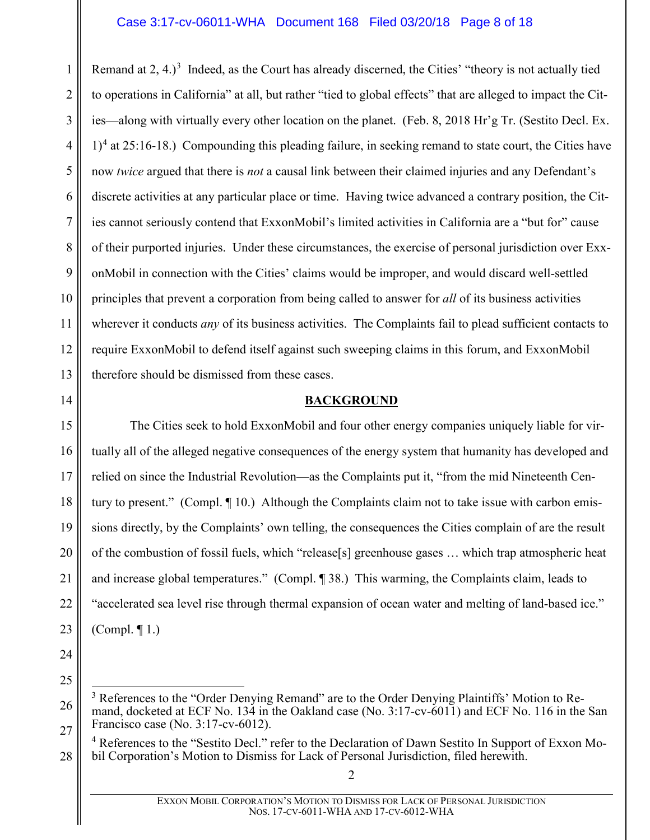1 2 3 4 5 6 7 8 9 10 11 12 13 Remand at  $2, 4.$ )<sup>[3](#page-7-1)</sup> Indeed, as the Court has already discerned, the Cities' "theory is not actually tied to operations in California" at all, but rather "tied to global effects" that are alleged to impact the Cities—along with virtually every other location on the planet. (Feb. 8, 2018 Hr'g Tr. (Sestito Decl. Ex.  $1$ <sup>[4](#page-7-2)</sup> at 25:16-18.) Compounding this pleading failure, in seeking remand to state court, the Cities have now *twice* argued that there is *not* a causal link between their claimed injuries and any Defendant's discrete activities at any particular place or time. Having twice advanced a contrary position, the Cities cannot seriously contend that ExxonMobil's limited activities in California are a "but for" cause of their purported injuries. Under these circumstances, the exercise of personal jurisdiction over ExxonMobil in connection with the Cities' claims would be improper, and would discard well-settled principles that prevent a corporation from being called to answer for *all* of its business activities wherever it conducts *any* of its business activities. The Complaints fail to plead sufficient contacts to require ExxonMobil to defend itself against such sweeping claims in this forum, and ExxonMobil therefore should be dismissed from these cases.

### **BACKGROUND**

15 16 17 18 19 20 21 22 23 The Cities seek to hold ExxonMobil and four other energy companies uniquely liable for virtually all of the alleged negative consequences of the energy system that humanity has developed and relied on since the Industrial Revolution—as the Complaints put it, "from the mid Nineteenth Century to present." (Compl. ¶ 10.) Although the Complaints claim not to take issue with carbon emissions directly, by the Complaints' own telling, the consequences the Cities complain of are the result of the combustion of fossil fuels, which "release[s] greenhouse gases … which trap atmospheric heat and increase global temperatures." (Compl. ¶ 38.) This warming, the Complaints claim, leads to "accelerated sea level rise through thermal expansion of ocean water and melting of land-based ice." (Compl. ¶ 1.)

24

<span id="page-7-0"></span>14

<span id="page-7-1"></span>25 26

<span id="page-7-2"></span>27

<sup>&</sup>lt;sup>3</sup> References to the "Order Denying Remand" are to the Order Denying Plaintiffs' Motion to Remand, docketed at ECF No. 134 in the Oakland case (No. 3:17-cv-6011) and ECF No. 116 in the San Francisco case (No. 3:17-cv-6012).

<sup>4</sup> References to the "Sestito Decl." refer to the Declaration of Dawn Sestito In Support of Exxon Mobil Corporation's Motion to Dismiss for Lack of Personal Jurisdiction, filed herewith.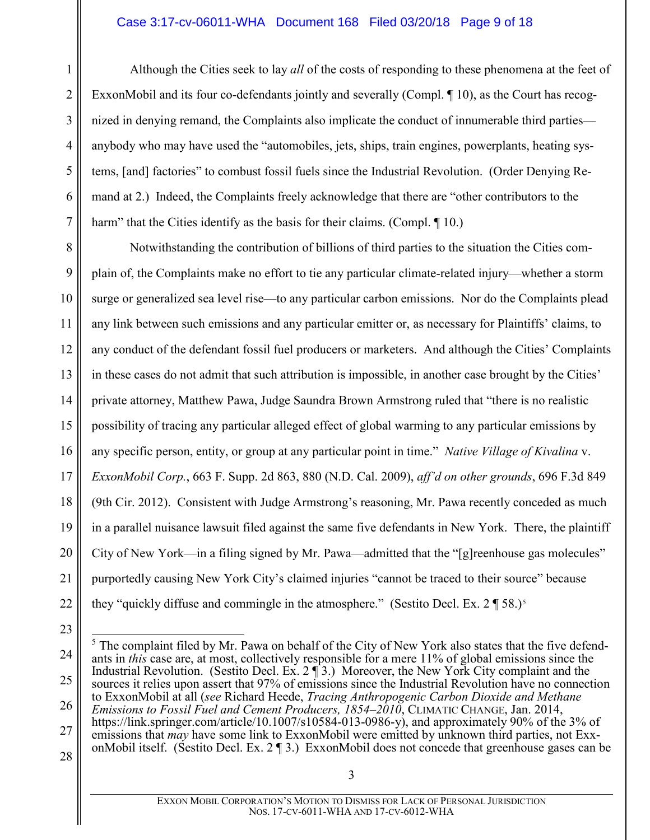#### Case 3:17-cv-06011-WHA Document 168 Filed 03/20/18 Page 9 of 18

Although the Cities seek to lay *all* of the costs of responding to these phenomena at the feet of ExxonMobil and its four co-defendants jointly and severally (Compl. ¶ 10), as the Court has recognized in denying remand, the Complaints also implicate the conduct of innumerable third parties anybody who may have used the "automobiles, jets, ships, train engines, powerplants, heating systems, [and] factories" to combust fossil fuels since the Industrial Revolution. (Order Denying Remand at 2.) Indeed, the Complaints freely acknowledge that there are "other contributors to the harm" that the Cities identify as the basis for their claims. (Compl. 10.)

8 9 10 11 12 13 14 15 16 17 18 19 20 21 22 Notwithstanding the contribution of billions of third parties to the situation the Cities complain of, the Complaints make no effort to tie any particular climate-related injury—whether a storm surge or generalized sea level rise—to any particular carbon emissions. Nor do the Complaints plead any link between such emissions and any particular emitter or, as necessary for Plaintiffs' claims, to any conduct of the defendant fossil fuel producers or marketers. And although the Cities' Complaints in these cases do not admit that such attribution is impossible, in another case brought by the Cities' private attorney, Matthew Pawa, Judge Saundra Brown Armstrong ruled that "there is no realistic possibility of tracing any particular alleged effect of global warming to any particular emissions by any specific person, entity, or group at any particular point in time." *Native Village of Kivalina* v. *ExxonMobil Corp.*, 663 F. Supp. 2d 863, 880 (N.D. Cal. 2009), *aff'd on other grounds*, 696 F.3d 849 (9th Cir. 2012). Consistent with Judge Armstrong's reasoning, Mr. Pawa recently conceded as much in a parallel nuisance lawsuit filed against the same five defendants in New York. There, the plaintiff City of New York—in a filing signed by Mr. Pawa—admitted that the "[g]reenhouse gas molecules" purportedly causing New York City's claimed injuries "cannot be traced to their source" because they "quickly diffuse and commingle in the atmosphere." (Sestito Decl. Ex.  $2 \P 58$  $2 \P 58$  $2 \P 58$ .)<sup>5</sup>

<span id="page-8-0"></span>23

1

2

3

4

5

6

7

<span id="page-8-2"></span>24 25 26 27 <sup>5</sup> The complaint filed by Mr. Pawa on behalf of the City of New York also states that the five defendants in *this* case are, at most, collectively responsible for a mere 11% of global emissions since the Industrial Revolution. (Sestito Decl. Ex. 2  $\P$  3.) Moreover, the New York City complaint and the sources it relies upon assert that 97% of emissions since the Industrial Revolution have no connection to ExxonMobil at all (*see* Richard Heede, *Tracing Anthropogenic Carbon Dioxide and Methane Emissions to Fossil Fuel and Cement Producers, 1854–2010*, CLIMATIC CHANGE, Jan. 2014, https://link.springer.com/article/10.1007/s10584-013-0986-y), and approximately 90% of the 3% of emissions that *may* have some link to ExxonMobil were emitted by unknown third parties, not Exx-

<span id="page-8-1"></span>onMobil itself. (Sestito Decl. Ex. 2 ¶ 3.) ExxonMobil does not concede that greenhouse gases can be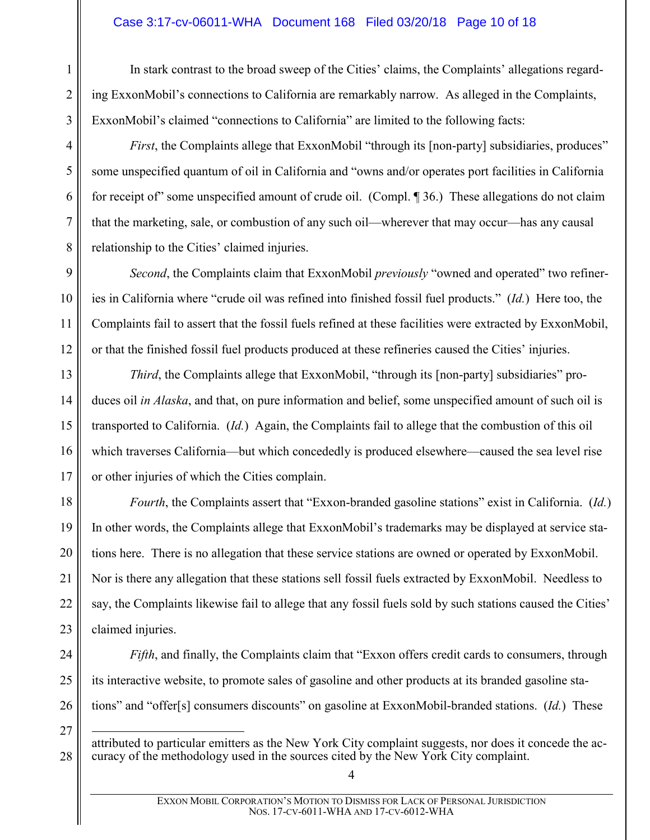### Case 3:17-cv-06011-WHA Document 168 Filed 03/20/18 Page 10 of 18

1

2

3

4

5

6

7

8

9

10

11

12

13

14

15

16

17

18

19

20

21

22

23

27

28

In stark contrast to the broad sweep of the Cities' claims, the Complaints' allegations regarding ExxonMobil's connections to California are remarkably narrow. As alleged in the Complaints, ExxonMobil's claimed "connections to California" are limited to the following facts:

*First*, the Complaints allege that ExxonMobil "through its [non-party] subsidiaries, produces" some unspecified quantum of oil in California and "owns and/or operates port facilities in California for receipt of" some unspecified amount of crude oil. (Compl. ¶ 36.) These allegations do not claim that the marketing, sale, or combustion of any such oil—wherever that may occur—has any causal relationship to the Cities' claimed injuries.

*Second*, the Complaints claim that ExxonMobil *previously* "owned and operated" two refineries in California where "crude oil was refined into finished fossil fuel products." (*Id.*) Here too, the Complaints fail to assert that the fossil fuels refined at these facilities were extracted by ExxonMobil, or that the finished fossil fuel products produced at these refineries caused the Cities' injuries.

*Third*, the Complaints allege that ExxonMobil, "through its [non-party] subsidiaries" produces oil *in Alaska*, and that, on pure information and belief, some unspecified amount of such oil is transported to California. (*Id.*) Again, the Complaints fail to allege that the combustion of this oil which traverses California—but which concededly is produced elsewhere—caused the sea level rise or other injuries of which the Cities complain.

*Fourth*, the Complaints assert that "Exxon-branded gasoline stations" exist in California. (*Id.*) In other words, the Complaints allege that ExxonMobil's trademarks may be displayed at service stations here. There is no allegation that these service stations are owned or operated by ExxonMobil. Nor is there any allegation that these stations sell fossil fuels extracted by ExxonMobil. Needless to say, the Complaints likewise fail to allege that any fossil fuels sold by such stations caused the Cities' claimed injuries.

24 25 26 *Fifth*, and finally, the Complaints claim that "Exxon offers credit cards to consumers, through its interactive website, to promote sales of gasoline and other products at its branded gasoline stations" and "offer[s] consumers discounts" on gasoline at ExxonMobil-branded stations. (*Id.*) These

 attributed to particular emitters as the New York City complaint suggests, nor does it concede the accuracy of the methodology used in the sources cited by the New York City complaint.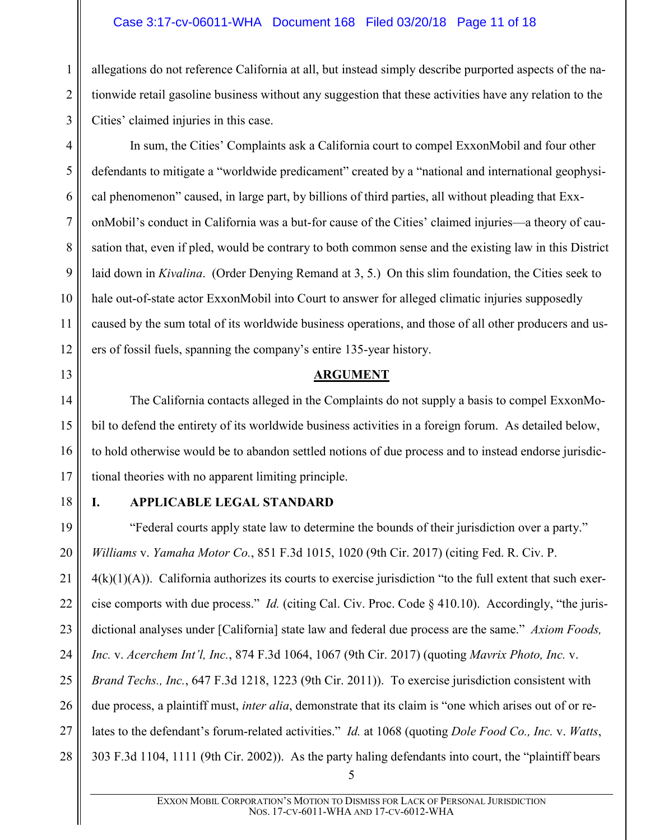# Case 3:17-cv-06011-WHA Document 168 Filed 03/20/18 Page 11 of 18

allegations do not reference California at all, but instead simply describe purported aspects of the nationwide retail gasoline business without any suggestion that these activities have any relation to the Cities' claimed injuries in this case.

In sum, the Cities' Complaints ask a California court to compel ExxonMobil and four other defendants to mitigate a "worldwide predicament" created by a "national and international geophysical phenomenon" caused, in large part, by billions of third parties, all without pleading that ExxonMobil's conduct in California was a but-for cause of the Cities' claimed injuries—a theory of causation that, even if pled, would be contrary to both common sense and the existing law in this District laid down in *Kivalina*. (Order Denying Remand at 3, 5.) On this slim foundation, the Cities seek to hale out-of-state actor ExxonMobil into Court to answer for alleged climatic injuries supposedly caused by the sum total of its worldwide business operations, and those of all other producers and users of fossil fuels, spanning the company's entire 135-year history.

#### <span id="page-10-2"></span>**ARGUMENT**

The California contacts alleged in the Complaints do not supply a basis to compel ExxonMobil to defend the entirety of its worldwide business activities in a foreign forum. As detailed below, to hold otherwise would be to abandon settled notions of due process and to instead endorse jurisdictional theories with no apparent limiting principle.

18

1

2

3

4

5

6

7

8

9

10

11

12

<span id="page-10-0"></span>13

14

15

16

17

#### <span id="page-10-3"></span><span id="page-10-1"></span>**I. APPLICABLE LEGAL STANDARD**

19 20 21 22 23 24 25 26 27 28 "Federal courts apply state law to determine the bounds of their jurisdiction over a party." *Williams* v. *Yamaha Motor Co.*, 851 F.3d 1015, 1020 (9th Cir. 2017) (citing Fed. R. Civ. P.  $4(k)(1)(A)$ ). California authorizes its courts to exercise jurisdiction "to the full extent that such exercise comports with due process." *Id.* (citing Cal. Civ. Proc. Code § 410.10). Accordingly, "the jurisdictional analyses under [California] state law and federal due process are the same." *Axiom Foods, Inc.* v. *Acerchem Int'l, Inc.*, 874 F.3d 1064, 1067 (9th Cir. 2017) (quoting *Mavrix Photo, Inc.* v. *Brand Techs., Inc.*, 647 F.3d 1218, 1223 (9th Cir. 2011)). To exercise jurisdiction consistent with due process, a plaintiff must, *inter alia*, demonstrate that its claim is "one which arises out of or relates to the defendant's forum-related activities." *Id.* at 1068 (quoting *Dole Food Co., Inc.* v. *Watts*, 303 F.3d 1104, 1111 (9th Cir. 2002)). As the party haling defendants into court, the "plaintiff bears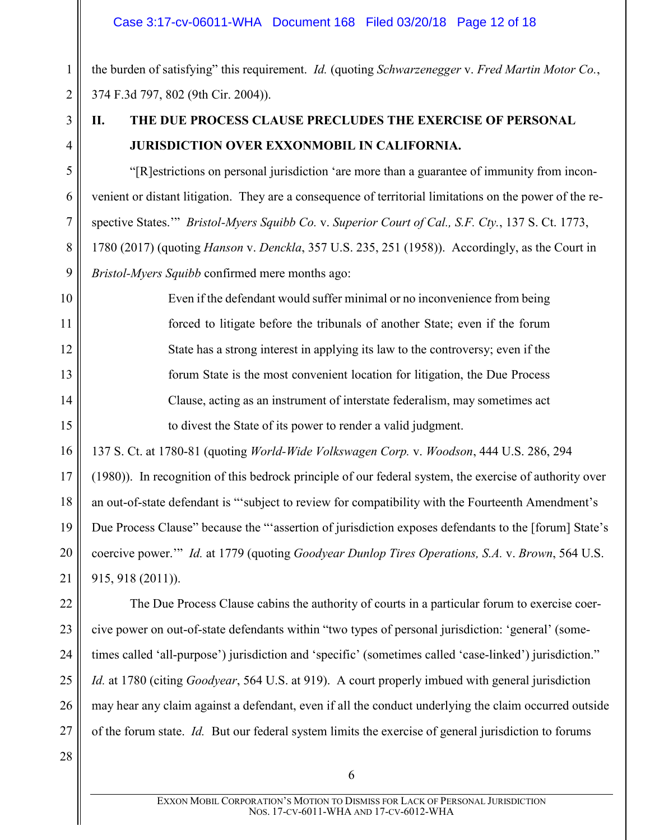the burden of satisfying" this requirement. *Id.* (quoting *Schwarzenegger* v. *Fred Martin Motor Co.*, 374 F.3d 797, 802 (9th Cir. 2004)).

3 4

5

6

7

8

9

10

11

12

13

14

15

1

2

# <span id="page-11-0"></span>**II. THE DUE PROCESS CLAUSE PRECLUDES THE EXERCISE OF PERSONAL JURISDICTION OVER EXXONMOBIL IN CALIFORNIA.**

<span id="page-11-1"></span>"[R]estrictions on personal jurisdiction 'are more than a guarantee of immunity from inconvenient or distant litigation. They are a consequence of territorial limitations on the power of the respective States.'" *Bristol-Myers Squibb Co.* v. *Superior Court of Cal., S.F. Cty.*, 137 S. Ct. 1773, 1780 (2017) (quoting *Hanson* v. *Denckla*, 357 U.S. 235, 251 (1958)). Accordingly, as the Court in *Bristol-Myers Squibb* confirmed mere months ago:

Even if the defendant would suffer minimal or no inconvenience from being forced to litigate before the tribunals of another State; even if the forum State has a strong interest in applying its law to the controversy; even if the forum State is the most convenient location for litigation, the Due Process Clause, acting as an instrument of interstate federalism, may sometimes act to divest the State of its power to render a valid judgment.

16 17 18 19 137 S. Ct. at 1780-81 (quoting *World-Wide Volkswagen Corp.* v. *Woodson*, 444 U.S. 286, 294 (1980)). In recognition of this bedrock principle of our federal system, the exercise of authority over an out-of-state defendant is "'subject to review for compatibility with the Fourteenth Amendment's Due Process Clause" because the "'assertion of jurisdiction exposes defendants to the [forum] State's

20 21 coercive power.'" *Id.* at 1779 (quoting *Goodyear Dunlop Tires Operations, S.A.* v. *Brown*, 564 U.S. 915, 918 (2011)).

22 23 24 25 26 27 The Due Process Clause cabins the authority of courts in a particular forum to exercise coercive power on out-of-state defendants within "two types of personal jurisdiction: 'general' (sometimes called 'all-purpose') jurisdiction and 'specific' (sometimes called 'case-linked') jurisdiction." *Id.* at 1780 (citing *Goodyear*, 564 U.S. at 919). A court properly imbued with general jurisdiction may hear any claim against a defendant, even if all the conduct underlying the claim occurred outside of the forum state. *Id.* But our federal system limits the exercise of general jurisdiction to forums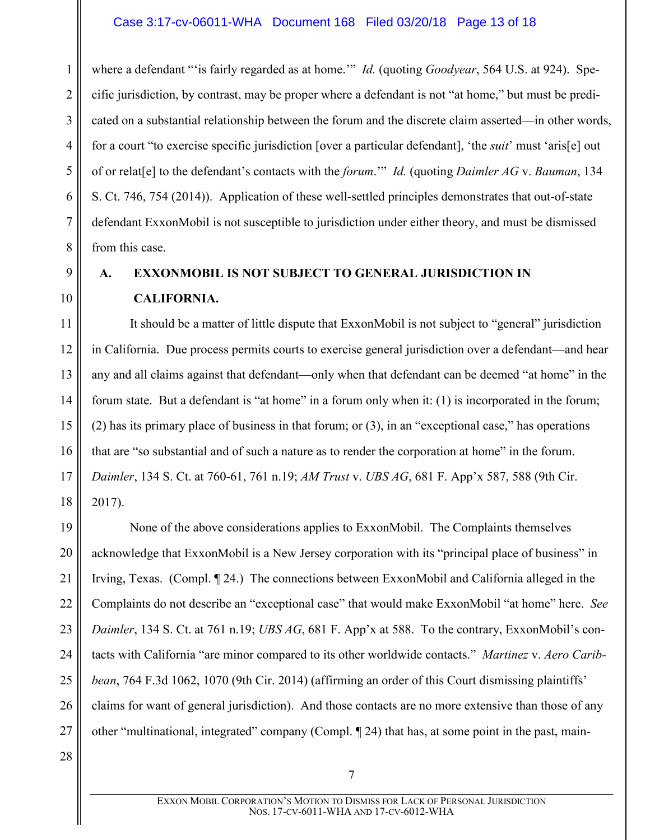### Case 3:17-cv-06011-WHA Document 168 Filed 03/20/18 Page 13 of 18

where a defendant "'is fairly regarded as at home.'" *Id.* (quoting *Goodyear*, 564 U.S. at 924). Specific jurisdiction, by contrast, may be proper where a defendant is not "at home," but must be predicated on a substantial relationship between the forum and the discrete claim asserted—in other words, for a court "to exercise specific jurisdiction [over a particular defendant], 'the *suit*' must 'aris[e] out of or relat[e] to the defendant's contacts with the *forum*.'" *Id.* (quoting *Daimler AG* v. *Bauman*, 134 S. Ct. 746, 754 (2014)). Application of these well-settled principles demonstrates that out-of-state defendant ExxonMobil is not susceptible to jurisdiction under either theory, and must be dismissed from this case.

# 9

10

1

2

3

4

5

6

7

8

# <span id="page-12-0"></span>**A. EXXONMOBIL IS NOT SUBJECT TO GENERAL JURISDICTION IN CALIFORNIA.**

11 12 13 14 15 16 17 18 It should be a matter of little dispute that ExxonMobil is not subject to "general" jurisdiction in California. Due process permits courts to exercise general jurisdiction over a defendant—and hear any and all claims against that defendant—only when that defendant can be deemed "at home" in the forum state. But a defendant is "at home" in a forum only when it: (1) is incorporated in the forum; (2) has its primary place of business in that forum; or (3), in an "exceptional case," has operations that are "so substantial and of such a nature as to render the corporation at home" in the forum. *Daimler*, 134 S. Ct. at 760-61, 761 n.19; *AM Trust* v. *UBS AG*, 681 F. App'x 587, 588 (9th Cir. 2017).

<span id="page-12-3"></span><span id="page-12-2"></span><span id="page-12-1"></span>19 20 21 22 23 24 25 26 27 None of the above considerations applies to ExxonMobil. The Complaints themselves acknowledge that ExxonMobil is a New Jersey corporation with its "principal place of business" in Irving, Texas. (Compl. ¶ 24.) The connections between ExxonMobil and California alleged in the Complaints do not describe an "exceptional case" that would make ExxonMobil "at home" here. *See Daimler*, 134 S. Ct. at 761 n.19; *UBS AG*, 681 F. App'x at 588. To the contrary, ExxonMobil's contacts with California "are minor compared to its other worldwide contacts." *Martinez* v. *Aero Caribbean*, 764 F.3d 1062, 1070 (9th Cir. 2014) (affirming an order of this Court dismissing plaintiffs' claims for want of general jurisdiction). And those contacts are no more extensive than those of any other "multinational, integrated" company (Compl. ¶ 24) that has, at some point in the past, main-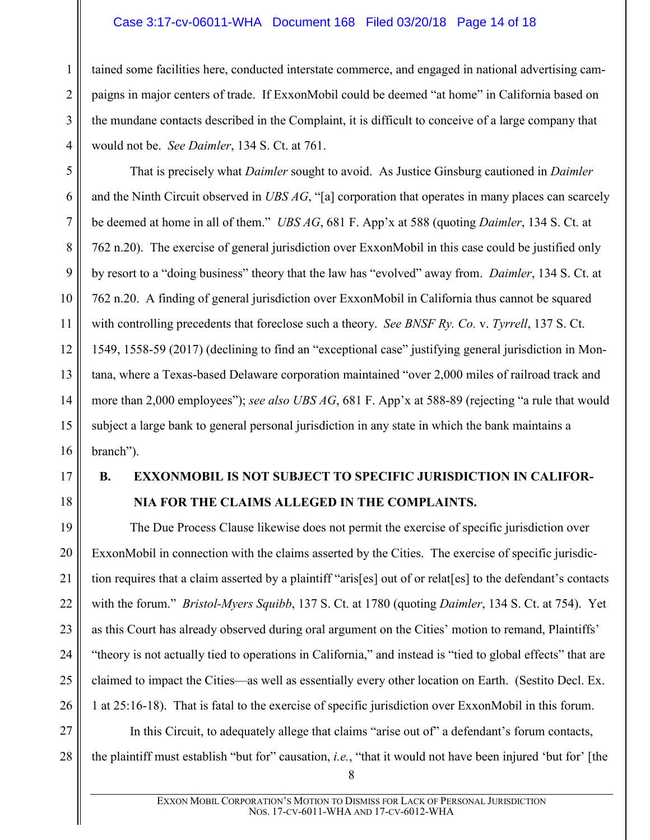#### Case 3:17-cv-06011-WHA Document 168 Filed 03/20/18 Page 14 of 18

tained some facilities here, conducted interstate commerce, and engaged in national advertising campaigns in major centers of trade. If ExxonMobil could be deemed "at home" in California based on the mundane contacts described in the Complaint, it is difficult to conceive of a large company that would not be. *See Daimler*, 134 S. Ct. at 761.

<span id="page-13-4"></span><span id="page-13-1"></span>That is precisely what *Daimler* sought to avoid. As Justice Ginsburg cautioned in *Daimler* and the Ninth Circuit observed in *UBS AG*, "[a] corporation that operates in many places can scarcely be deemed at home in all of them." *UBS AG*, 681 F. App'x at 588 (quoting *Daimler*, 134 S. Ct. at 762 n.20). The exercise of general jurisdiction over ExxonMobil in this case could be justified only by resort to a "doing business" theory that the law has "evolved" away from. *Daimler*, 134 S. Ct. at 762 n.20. A finding of general jurisdiction over ExxonMobil in California thus cannot be squared with controlling precedents that foreclose such a theory. *See BNSF Ry. Co.* v. *Tyrrell*, 137 S. Ct. 1549, 1558-59 (2017) (declining to find an "exceptional case" justifying general jurisdiction in Montana, where a Texas-based Delaware corporation maintained "over 2,000 miles of railroad track and more than 2,000 employees"); *see also UBS AG*, 681 F. App'x at 588-89 (rejecting "a rule that would subject a large bank to general personal jurisdiction in any state in which the bank maintains a branch").

17

1

2

3

4

5

6

7

8

<span id="page-13-2"></span>9

10

11

12

13

14

15

16

18

# <span id="page-13-0"></span>**B. EXXONMOBIL IS NOT SUBJECT TO SPECIFIC JURISDICTION IN CALIFOR-NIA FOR THE CLAIMS ALLEGED IN THE COMPLAINTS.**

<span id="page-13-3"></span>19 20 21 22 23 24 25 26 The Due Process Clause likewise does not permit the exercise of specific jurisdiction over ExxonMobil in connection with the claims asserted by the Cities. The exercise of specific jurisdiction requires that a claim asserted by a plaintiff "aris[es] out of or relat[es] to the defendant's contacts with the forum." *Bristol-Myers Squibb*, 137 S. Ct. at 1780 (quoting *Daimler*, 134 S. Ct. at 754). Yet as this Court has already observed during oral argument on the Cities' motion to remand, Plaintiffs' "theory is not actually tied to operations in California," and instead is "tied to global effects" that are claimed to impact the Cities—as well as essentially every other location on Earth. (Sestito Decl. Ex. 1 at 25:16-18). That is fatal to the exercise of specific jurisdiction over ExxonMobil in this forum.

27 28 In this Circuit, to adequately allege that claims "arise out of" a defendant's forum contacts, the plaintiff must establish "but for" causation, *i.e.*, "that it would not have been injured 'but for' [the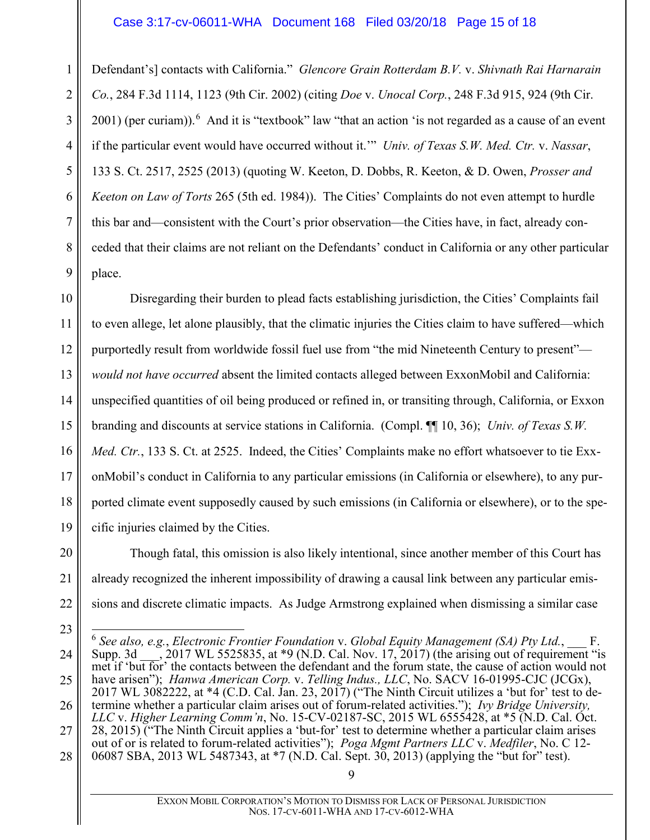#### <span id="page-14-5"></span><span id="page-14-1"></span>Case 3:17-cv-06011-WHA Document 168 Filed 03/20/18 Page 15 of 18

1 2 3 4 5 6 7 8 9 Defendant's] contacts with California." *Glencore Grain Rotterdam B.V.* v. *Shivnath Rai Harnarain Co.*, 284 F.3d 1114, 1123 (9th Cir. 2002) (citing *Doe* v. *Unocal Corp.*, 248 F.3d 915, 924 (9th Cir.  $2001$ ) (per curiam)). <sup>[6](#page-14-6)</sup> And it is "textbook" law "that an action 'is not regarded as a cause of an event if the particular event would have occurred without it.'" *Univ. of Texas S.W. Med. Ctr.* v. *Nassar*, 133 S. Ct. 2517, 2525 (2013) (quoting W. Keeton, D. Dobbs, R. Keeton, & D. Owen, *Prosser and Keeton on Law of Torts* 265 (5th ed. 1984)). The Cities' Complaints do not even attempt to hurdle this bar and—consistent with the Court's prior observation—the Cities have, in fact, already conceded that their claims are not reliant on the Defendants' conduct in California or any other particular place.

10 11 12 13 14 15 16 17 18 19 Disregarding their burden to plead facts establishing jurisdiction, the Cities' Complaints fail to even allege, let alone plausibly, that the climatic injuries the Cities claim to have suffered—which purportedly result from worldwide fossil fuel use from "the mid Nineteenth Century to present" *would not have occurred* absent the limited contacts alleged between ExxonMobil and California: unspecified quantities of oil being produced or refined in, or transiting through, California, or Exxon branding and discounts at service stations in California. (Compl. ¶¶ 10, 36); *Univ. of Texas S.W. Med. Ctr.*, 133 S. Ct. at 2525. Indeed, the Cities' Complaints make no effort whatsoever to tie ExxonMobil's conduct in California to any particular emissions (in California or elsewhere), to any purported climate event supposedly caused by such emissions (in California or elsewhere), or to the specific injuries claimed by the Cities.

20 21 22 Though fatal, this omission is also likely intentional, since another member of this Court has already recognized the inherent impossibility of drawing a causal link between any particular emissions and discrete climatic impacts. As Judge Armstrong explained when dismissing a similar case

<span id="page-14-6"></span><span id="page-14-4"></span><span id="page-14-3"></span><span id="page-14-2"></span><span id="page-14-0"></span><sup>23</sup> 24 25 26 27 28 6 *See also, e.g.*, *Electronic Frontier Foundation* v. *Global Equity Management (SA) Pty Ltd.*, \_\_\_ F. Supp. 3d  $\sim$ , 2017 WL 5525835, at \*9 (N.D. Cal. Nov. 17, 2017) (the arising out of requirement "is met if 'but for' the contacts between the defendant and the forum state, the cause of action would not have arisen"); *Hanwa American Corp. v. Telling Indus., LLC*, No. SACV 16-01995-CJC (JCGx), 2017 WL 3082222, at \*4 (C.D. Cal. Jan. 23, 2017) ("The Ninth Circuit utilizes a 'but for' test to determine whether a particular claim arises out of forum-related activities."); *Ivy Bridge University, LLC* v. *Higher Learning Comm'n*, No. 15-CV-02187-SC, 2015 WL 6555428, at \*5 (N.D. Cal. Oct. 28, 2015) ("The Ninth Circuit applies a 'but-for' test to determine whether a particular claim arises out of or is related to forum-related activities"); *Poga Mgmt Partners LLC* v. *Medfiler*, No. C 12- 06087 SBA, 2013 WL 5487343, at \*7 (N.D. Cal. Sept. 30, 2013) (applying the "but for" test).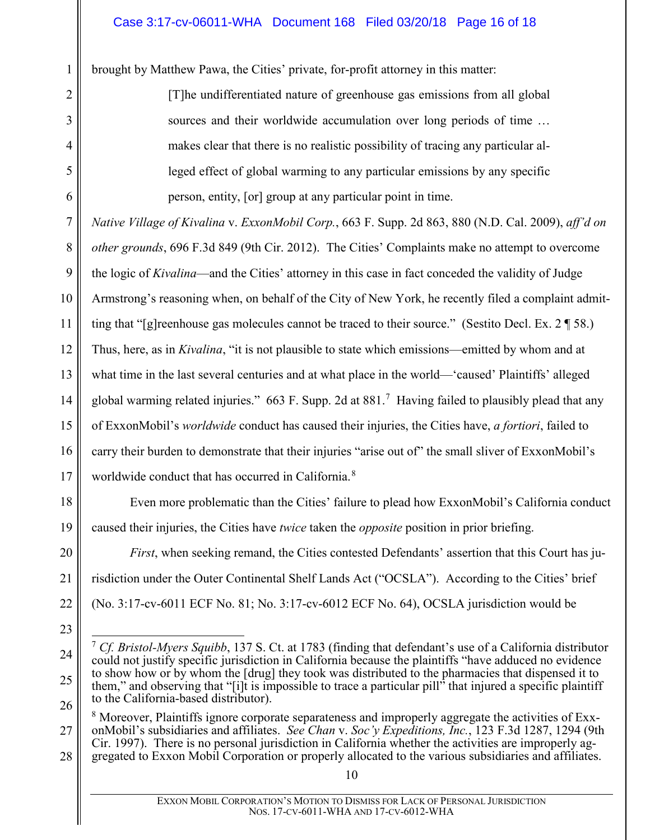brought by Matthew Pawa, the Cities' private, for-profit attorney in this matter:

1

2

3

4

5

<span id="page-15-2"></span>6

18

19

20

21

22

23

[T]he undifferentiated nature of greenhouse gas emissions from all global sources and their worldwide accumulation over long periods of time … makes clear that there is no realistic possibility of tracing any particular alleged effect of global warming to any particular emissions by any specific person, entity, [or] group at any particular point in time.

7 8 9 10 11 12 13 14 15 16 17 *Native Village of Kivalina* v. *ExxonMobil Corp.*, 663 F. Supp. 2d 863, 880 (N.D. Cal. 2009), *aff'd on other grounds*, 696 F.3d 849 (9th Cir. 2012). The Cities' Complaints make no attempt to overcome the logic of *Kivalina*—and the Cities' attorney in this case in fact conceded the validity of Judge Armstrong's reasoning when, on behalf of the City of New York, he recently filed a complaint admitting that "[g]reenhouse gas molecules cannot be traced to their source." (Sestito Decl. Ex. 2 ¶ 58.) Thus, here, as in *Kivalina*, "it is not plausible to state which emissions—emitted by whom and at what time in the last several centuries and at what place in the world—'caused' Plaintiffs' alleged global warming related injuries." 663 F. Supp. 2d at 881.<sup>[7](#page-15-3)</sup> Having failed to plausibly plead that any of ExxonMobil's *worldwide* conduct has caused their injuries, the Cities have, *a fortiori*, failed to carry their burden to demonstrate that their injuries "arise out of" the small sliver of ExxonMobil's worldwide conduct that has occurred in California.<sup>[8](#page-15-4)</sup>

Even more problematic than the Cities' failure to plead how ExxonMobil's California conduct caused their injuries, the Cities have *twice* taken the *opposite* position in prior briefing.

*First*, when seeking remand, the Cities contested Defendants' assertion that this Court has jurisdiction under the Outer Continental Shelf Lands Act ("OCSLA"). According to the Cities' brief (No. 3:17-cv-6011 ECF No. 81; No. 3:17-cv-6012 ECF No. 64), OCSLA jurisdiction would be

<span id="page-15-3"></span><span id="page-15-0"></span><sup>24</sup> 25 26 7 *Cf. Bristol-Myers Squibb*, 137 S. Ct. at 1783 (finding that defendant's use of a California distributor could not justify specific jurisdiction in California because the plaintiffs "have adduced no evidence to show how or by whom the [drug] they took was distributed to the pharmacies that dispensed it to them," and observing that "[i]t is impossible to trace a particular pill" that injured a specific plaintiff to the California-based distributor).

<span id="page-15-4"></span><span id="page-15-1"></span><sup>27</sup> 28 <sup>8</sup> Moreover, Plaintiffs ignore corporate separateness and improperly aggregate the activities of ExxonMobil's subsidiaries and affiliates. *See Chan* v. *Soc'y Expeditions, Inc.*, 123 F.3d 1287, 1294 (9th Cir. 1997). There is no personal jurisdiction in California whether the activities are improperly aggregated to Exxon Mobil Corporation or properly allocated to the various subsidiaries and affiliates.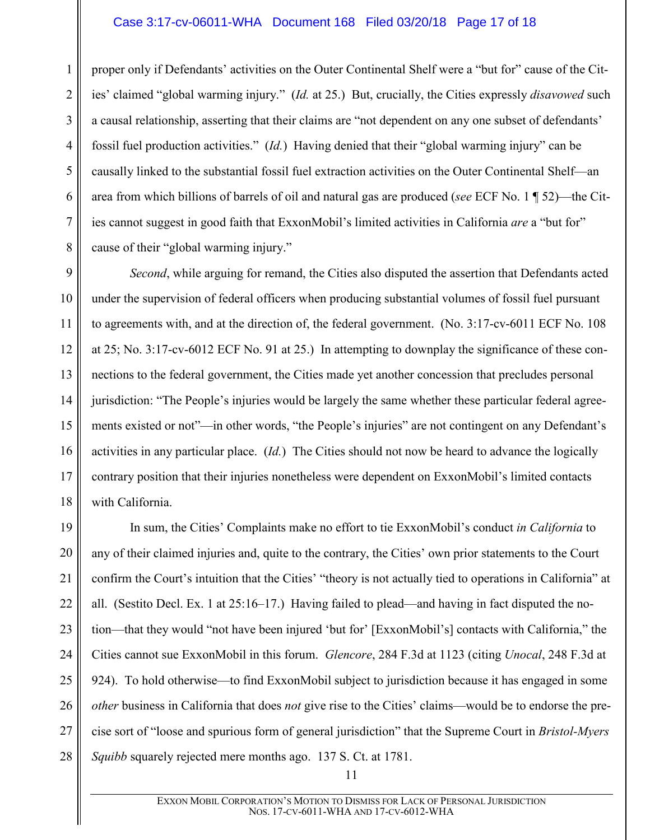#### Case 3:17-cv-06011-WHA Document 168 Filed 03/20/18 Page 17 of 18

1

2

3

4

5

6

7

8

proper only if Defendants' activities on the Outer Continental Shelf were a "but for" cause of the Cities' claimed "global warming injury." (*Id.* at 25.) But, crucially, the Cities expressly *disavowed* such a causal relationship, asserting that their claims are "not dependent on any one subset of defendants' fossil fuel production activities." (*Id.*) Having denied that their "global warming injury" can be causally linked to the substantial fossil fuel extraction activities on the Outer Continental Shelf—an area from which billions of barrels of oil and natural gas are produced (*see* ECF No. 1 ¶ 52)—the Cities cannot suggest in good faith that ExxonMobil's limited activities in California *are* a "but for" cause of their "global warming injury."

9 10 11 12 13 14 15 16 17 18 *Second*, while arguing for remand, the Cities also disputed the assertion that Defendants acted under the supervision of federal officers when producing substantial volumes of fossil fuel pursuant to agreements with, and at the direction of, the federal government. (No. 3:17-cv-6011 ECF No. 108 at 25; No. 3:17-cv-6012 ECF No. 91 at 25.) In attempting to downplay the significance of these connections to the federal government, the Cities made yet another concession that precludes personal jurisdiction: "The People's injuries would be largely the same whether these particular federal agreements existed or not"—in other words, "the People's injuries" are not contingent on any Defendant's activities in any particular place. (*Id.*) The Cities should not now be heard to advance the logically contrary position that their injuries nonetheless were dependent on ExxonMobil's limited contacts with California.

<span id="page-16-1"></span><span id="page-16-0"></span>19 20 21 22 23 24 25 26 27 28 In sum, the Cities' Complaints make no effort to tie ExxonMobil's conduct *in California* to any of their claimed injuries and, quite to the contrary, the Cities' own prior statements to the Court confirm the Court's intuition that the Cities' "theory is not actually tied to operations in California" at all. (Sestito Decl. Ex. 1 at 25:16–17.) Having failed to plead—and having in fact disputed the notion—that they would "not have been injured 'but for' [ExxonMobil's] contacts with California," the Cities cannot sue ExxonMobil in this forum. *Glencore*, 284 F.3d at 1123 (citing *Unocal*, 248 F.3d at 924). To hold otherwise—to find ExxonMobil subject to jurisdiction because it has engaged in some *other* business in California that does *not* give rise to the Cities' claims—would be to endorse the precise sort of "loose and spurious form of general jurisdiction" that the Supreme Court in *Bristol-Myers Squibb* squarely rejected mere months ago. 137 S. Ct. at 1781.